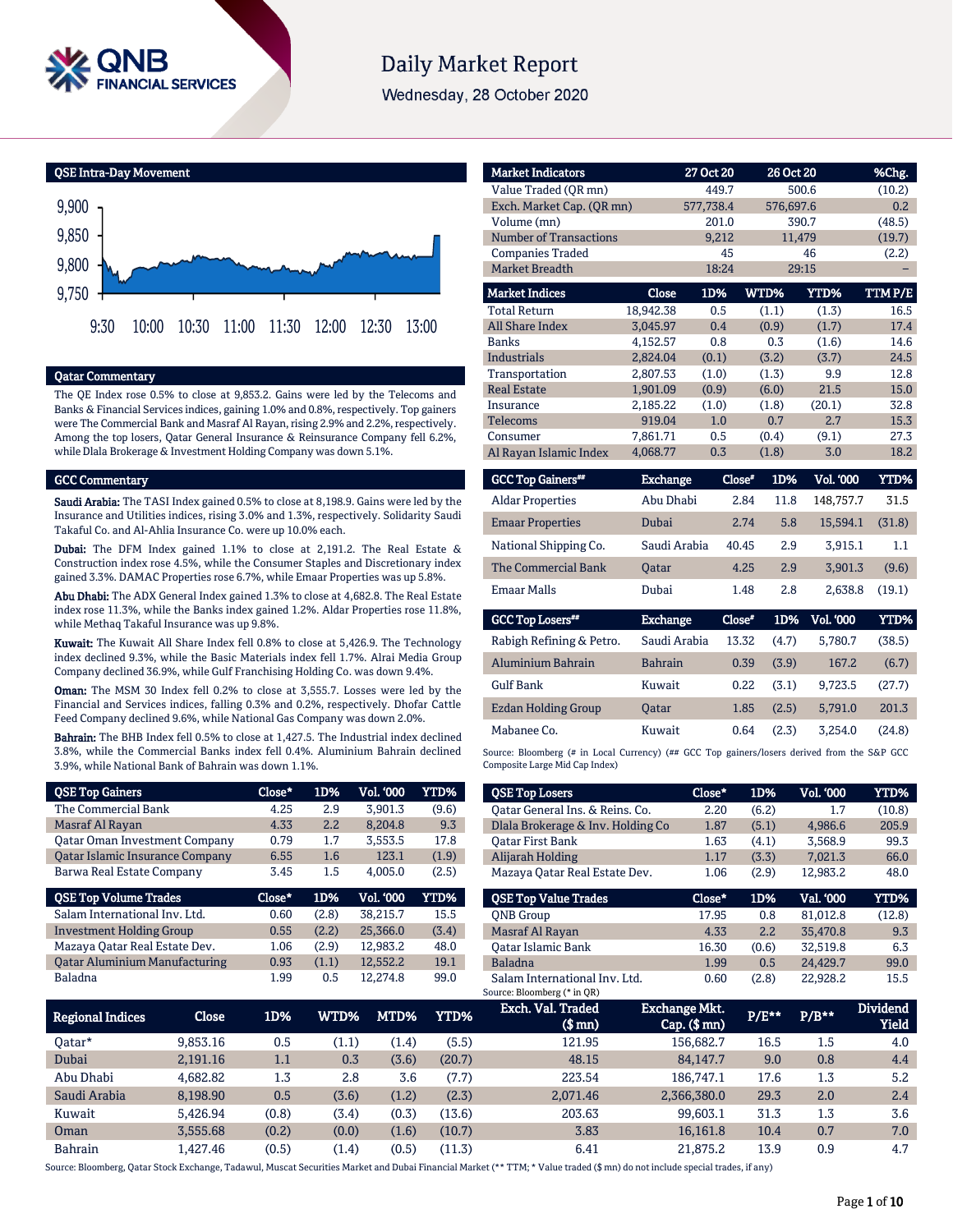

# **Daily Market Report**

Wednesday, 28 October 2020

QSE Intra-Day Movement



#### Qatar Commentary

The QE Index rose 0.5% to close at 9,853.2. Gains were led by the Telecoms and Banks & Financial Services indices, gaining 1.0% and 0.8%, respectively. Top gainers were The Commercial Bank and Masraf Al Rayan, rising 2.9% and 2.2%, respectively. Among the top losers, Qatar General Insurance & Reinsurance Company fell 6.2%, while Dlala Brokerage & Investment Holding Company was down 5.1%.

#### GCC Commentary

Saudi Arabia: The TASI Index gained 0.5% to close at 8,198.9. Gains were led by the Insurance and Utilities indices, rising 3.0% and 1.3%, respectively. Solidarity Saudi Takaful Co. and Al-Ahlia Insurance Co. were up 10.0% each.

Dubai: The DFM Index gained 1.1% to close at 2,191.2. The Real Estate & Construction index rose 4.5%, while the Consumer Staples and Discretionary index gained 3.3%. DAMAC Properties rose 6.7%, while Emaar Properties was up 5.8%.

Abu Dhabi: The ADX General Index gained 1.3% to close at 4,682.8. The Real Estate index rose 11.3%, while the Banks index gained 1.2%. Aldar Properties rose 11.8%, while Methaq Takaful Insurance was up 9.8%.

Kuwait: The Kuwait All Share Index fell 0.8% to close at 5,426.9. The Technology index declined 9.3%, while the Basic Materials index fell 1.7%. Alrai Media Group Company declined 36.9%, while Gulf Franchising Holding Co. was down 9.4%.

Oman: The MSM 30 Index fell 0.2% to close at 3,555.7. Losses were led by the Financial and Services indices, falling 0.3% and 0.2%, respectively. Dhofar Cattle Feed Company declined 9.6%, while National Gas Company was down 2.0%.

Bahrain: The BHB Index fell 0.5% to close at 1,427.5. The Industrial index declined 3.8%, while the Commercial Banks index fell 0.4%. Aluminium Bahrain declined 3.9%, while National Bank of Bahrain was down 1.1%.

| <b>QSE Top Gainers</b>                 | Close* | 1D%   | Vol. 000         | YTD%  |
|----------------------------------------|--------|-------|------------------|-------|
| The Commercial Bank                    | 4.25   | 2.9   | 3.901.3          | (9.6) |
| Masraf Al Rayan                        | 4.33   | 2.2   | 8.204.8          | 9.3   |
| <b>Qatar Oman Investment Company</b>   | 0.79   | 1.7   | 3,553.5          | 17.8  |
| <b>Qatar Islamic Insurance Company</b> | 6.55   | 1.6   | 123.1            | (1.9) |
| Barwa Real Estate Company              | 3.45   | 1.5   | 4.005.0          | (2.5) |
|                                        |        |       |                  |       |
| <b>QSE Top Volume Trades</b>           | Close* | 1D%   | <b>Vol. '000</b> | YTD%  |
| Salam International Inv. Ltd.          | 0.60   | (2.8) | 38.215.7         | 15.5  |
| <b>Investment Holding Group</b>        | 0.55   | (2.2) | 25.366.0         | (3.4) |
| Mazaya Qatar Real Estate Dev.          | 1.06   | (2.9) | 12,983.2         | 48.0  |
| <b>Qatar Aluminium Manufacturing</b>   | 0.93   | (1.1) | 12,552.2         | 19.1  |

| <b>Market Indicators</b>      |                 | 27 Oct 20 |               | 26 Oct 20 | %Chg.   |
|-------------------------------|-----------------|-----------|---------------|-----------|---------|
| Value Traded (OR mn)          |                 | 449.7     |               | 500.6     | (10.2)  |
| Exch. Market Cap. (QR mn)     |                 | 577,738.4 |               | 576,697.6 | 0.2     |
| Volume (mn)                   |                 | 201.0     |               | 390.7     | (48.5)  |
| <b>Number of Transactions</b> |                 | 9,212     |               | 11,479    | (19.7)  |
| <b>Companies Traded</b>       |                 | 45        |               | 46        | (2.2)   |
| <b>Market Breadth</b>         |                 | 18:24     |               | 29:15     |         |
| <b>Market Indices</b>         | Close           | 1D%       | WTD%          | YTD%      | TTM P/E |
| <b>Total Return</b>           | 18,942.38       | 0.5       | (1.1)         | (1.3)     | 16.5    |
| <b>All Share Index</b>        | 3,045.97        | 0.4       | (0.9)         | (1.7)     | 17.4    |
| <b>Banks</b>                  | 4,152.57        | 0.8       | 0.3           | (1.6)     | 14.6    |
| <b>Industrials</b>            | 2,824.04        | (0.1)     | (3.2)         | (3.7)     | 24.5    |
| Transportation                | 2,807.53        | (1.0)     | (1.3)         | 9.9       | 12.8    |
| <b>Real Estate</b>            | 1,901.09        | (0.9)     | (6.0)         | 21.5      | 15.0    |
| Insurance                     | 2,185.22        | (1.0)     | (1.8)         | (20.1)    | 32.8    |
| Telecoms                      | 919.04          | 1.0       | 0.7           | 2.7       | 15.3    |
| Consumer                      | 7,861.71        | 0.5       | (0.4)         | (9.1)     | 27.3    |
| Al Rayan Islamic Index        | 4,068.77        | 0.3       | (1.8)         | 3.0       | 18.2    |
| <b>GCC Top Gainers**</b>      | <b>Exchange</b> |           | Close*<br>1D% | Vol. '000 | YTD%    |
| <b>Aldar Properties</b>       | Abu Dhabi       |           | 2.84<br>11.8  | 148,757.7 | 31.5    |

| Aldar Properties        | Abu Dhabi    | <b>4.84</b> | 11.8 | 148.757.7 | 51.5   |
|-------------------------|--------------|-------------|------|-----------|--------|
| <b>Emaar Properties</b> | Dubai        | 2.74        | 5.8  | 15.594.1  | (31.8) |
| National Shipping Co.   | Saudi Arabia | 40.45       | 2.9  | 3.915.1   | 1.1    |
| The Commercial Bank     | <b>Oatar</b> | 4.25        | 2.9  | 3.901.3   | (9.6)  |
| <b>Emaar Malls</b>      | Dubai        | 1.48        | 2.8  | 2,638.8   | (19.1) |

| <b>GCC Top Losers</b>    | <b>Exchange</b> | Close* | 1D%   | <b>Vol. '000'</b> | YTD%   |
|--------------------------|-----------------|--------|-------|-------------------|--------|
| Rabigh Refining & Petro. | Saudi Arabia    | 13.32  | (4.7) | 5.780.7           | (38.5) |
| Aluminium Bahrain        | <b>Bahrain</b>  | 0.39   | (3.9) | 167.2             | (6.7)  |
| <b>Gulf Bank</b>         | Kuwait          | 0.22   | (3.1) | 9.723.5           | (27.7) |
| Ezdan Holding Group      | <b>Oatar</b>    | 1.85   | (2.5) | 5.791.0           | 201.3  |
| Mabanee Co.              | Kuwait          | 0.64   | (2.3) | 3.254.0           | (24.8) |

Source: Bloomberg (# in Local Currency) (## GCC Top gainers/losers derived from the S&P GCC Composite Large Mid Cap Index)

| <b>QSE Top Losers</b>                           | Close* | 1D%   | <b>Vol. '000</b> | YTD%   |
|-------------------------------------------------|--------|-------|------------------|--------|
| Oatar General Ins. & Reins. Co.                 | 2.20   | (6.2) | 1.7              | (10.8) |
| Dlala Brokerage & Inv. Holding Co               | 1.87   | (5.1) | 4.986.6          | 205.9  |
| <b>Oatar First Bank</b>                         | 1.63   | (4.1) | 3,568.9          | 99.3   |
| Alijarah Holding                                | 1.17   | (3.3) | 7.021.3          | 66.0   |
| Mazaya Qatar Real Estate Dev.                   | 1.06   | (2.9) | 12.983.2         | 48.0   |
|                                                 |        |       |                  |        |
|                                                 | Close* | 1D%   | Val. '000        | YTD%   |
| <b>OSE Top Value Trades</b><br><b>ONB</b> Group | 17.95  | 0.8   | 81.012.8         | (12.8) |
| Masraf Al Rayan                                 | 4.33   | 2.2   | 35.470.8         | 9.3    |
| Oatar Islamic Bank                              | 16.30  | (0.6) | 32.519.8         | 6.3    |
| <b>Baladna</b>                                  | 1.99   | 0.5   | 24.429.7         | 99.0   |

| Regional Indices | Close    | 1D%   | WTD%' | MTD%  | YTD%   | Exch. Val. Traded<br>$$$ mn $)$ | <b>Exchange Mkt.</b><br>$Cap.$ (\$ mn) | P/E** | $P/B***$ | <b>Dividend</b><br><b>Yield</b> |
|------------------|----------|-------|-------|-------|--------|---------------------------------|----------------------------------------|-------|----------|---------------------------------|
| Oatar*           | 9.853.16 | 0.5   | (1.1) | (1.4) | (5.5)  | 121.95                          | 156.682.7                              | 16.5  | 1.5      | 4.0                             |
| Dubai            | 2,191.16 | 1.1   | 0.3   | (3.6) | (20.7) | 48.15                           | 84.147.7                               | 9.0   | 0.8      | 4.4                             |
| Abu Dhabi        | 4.682.82 | 1.3   | 2.8   | 3.6   | (7.7)  | 223.54                          | 186.747.1                              | 17.6  | 1.3      | 5.2                             |
| Saudi Arabia     | 8,198.90 | 0.5   | (3.6) | (1.2) | (2.3)  | 2,071.46                        | 2,366,380.0                            | 29.3  | 2.0      | 2.4                             |
| Kuwait           | 5.426.94 | (0.8) | (3.4) | (0.3) | (13.6) | 203.63                          | 99.603.1                               | 31.3  | 1.3      | 3.6                             |
| Oman             | 3.555.68 | (0.2) | (0.0) | (1.6) | (10.7) | 3.83                            | 16.161.8                               | 10.4  | 0.7      | 7.0                             |
| <b>Bahrain</b>   | .427.46  | (0.5) | (1.4) | (0.5) | (11.3) | 6.41                            | 21.875.2                               | 13.9  | 0.9      | 4.7                             |

Source: Bloomberg, Qatar Stock Exchange, Tadawul, Muscat Securities Market and Dubai Financial Market (\*\* TTM; \* Value traded (\$ mn) do not include special trades, if any)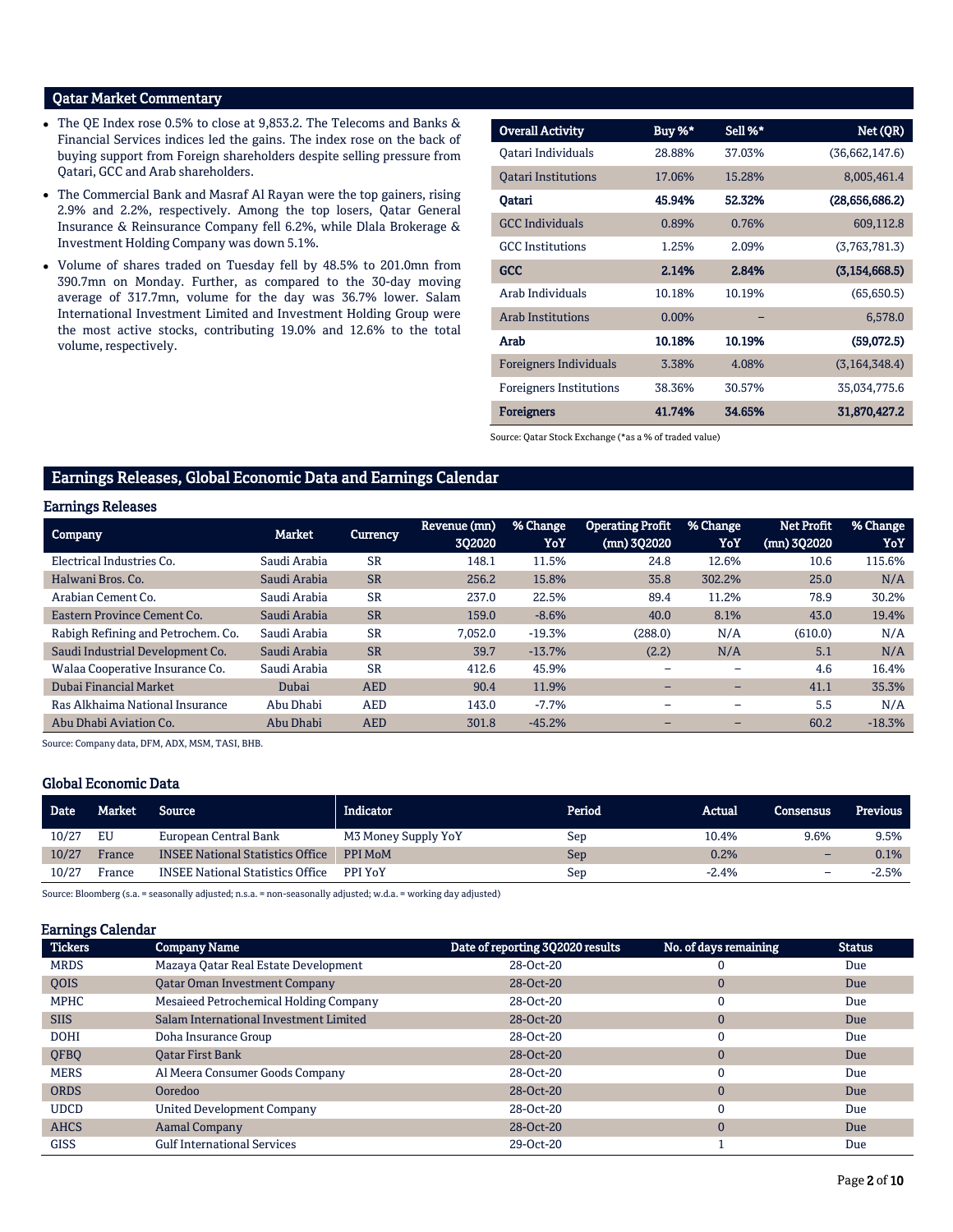### Qatar Market Commentary

- The QE Index rose 0.5% to close at 9,853.2. The Telecoms and Banks & Financial Services indices led the gains. The index rose on the back of buying support from Foreign shareholders despite selling pressure from Qatari, GCC and Arab shareholders.
- The Commercial Bank and Masraf Al Rayan were the top gainers, rising 2.9% and 2.2%, respectively. Among the top losers, Qatar General Insurance & Reinsurance Company fell 6.2%, while Dlala Brokerage & Investment Holding Company was down 5.1%.
- Volume of shares traded on Tuesday fell by 48.5% to 201.0mn from 390.7mn on Monday. Further, as compared to the 30-day moving average of 317.7mn, volume for the day was 36.7% lower. Salam International Investment Limited and Investment Holding Group were the most active stocks, contributing 19.0% and 12.6% to the total volume, respectively.

| <b>Overall Activity</b>        | Buy %*   | Sell %* | Net (QR)        |
|--------------------------------|----------|---------|-----------------|
| Qatari Individuals             | 28.88%   | 37.03%  | (36,662,147.6)  |
| <b>Oatari Institutions</b>     | 17.06%   | 15.28%  | 8,005,461.4     |
| Qatari                         | 45.94%   | 52.32%  | (28,656,686.2)  |
| <b>GCC Individuals</b>         | 0.89%    | 0.76%   | 609,112.8       |
| <b>GCC</b> Institutions        | 1.25%    | 2.09%   | (3,763,781.3)   |
| <b>GCC</b>                     | 2.14%    | 2.84%   | (3, 154, 668.5) |
| Arab Individuals               | 10.18%   | 10.19%  | (65,650.5)      |
| <b>Arab Institutions</b>       | $0.00\%$ |         | 6,578.0         |
| Arab                           | 10.18%   | 10.19%  | (59,072.5)      |
| <b>Foreigners Individuals</b>  | 3.38%    | 4.08%   | (3, 164, 348.4) |
| <b>Foreigners Institutions</b> | 38.36%   | 30.57%  | 35,034,775.6    |
| <b>Foreigners</b>              | 41.74%   | 34.65%  | 31,870,427.2    |

Source: Qatar Stock Exchange (\*as a % of traded value)

## Earnings Releases, Global Economic Data and Earnings Calendar

#### Earnings Releases

| <b>Company</b>                     | <b>Market</b> | <b>Currency</b> | Revenue (mn)<br>302020 | % Change<br>YoY | <b>Operating Profit</b><br>(mn) 3Q2020 | % Change<br>YoY | <b>Net Profit</b><br>(mn) 3Q2020 | % Change<br>YoY |
|------------------------------------|---------------|-----------------|------------------------|-----------------|----------------------------------------|-----------------|----------------------------------|-----------------|
| Electrical Industries Co.          | Saudi Arabia  | <b>SR</b>       | 148.1                  | 11.5%           | 24.8                                   | 12.6%           | 10.6                             | 115.6%          |
| Halwani Bros. Co.                  | Saudi Arabia  | <b>SR</b>       | 256.2                  | 15.8%           | 35.8                                   | 302.2%          | 25.0                             | N/A             |
| Arabian Cement Co.                 | Saudi Arabia  | <b>SR</b>       | 237.0                  | 22.5%           | 89.4                                   | 11.2%           | 78.9                             | 30.2%           |
| Eastern Province Cement Co.        | Saudi Arabia  | <b>SR</b>       | 159.0                  | $-8.6%$         | 40.0                                   | 8.1%            | 43.0                             | 19.4%           |
| Rabigh Refining and Petrochem. Co. | Saudi Arabia  | <b>SR</b>       | 7,052.0                | $-19.3%$        | (288.0)                                | N/A             | (610.0)                          | N/A             |
| Saudi Industrial Development Co.   | Saudi Arabia  | <b>SR</b>       | 39.7                   | $-13.7%$        | (2.2)                                  | N/A             | 5.1                              | N/A             |
| Walaa Cooperative Insurance Co.    | Saudi Arabia  | <b>SR</b>       | 412.6                  | 45.9%           |                                        |                 | 4.6                              | 16.4%           |
| Dubai Financial Market             | Dubai         | <b>AED</b>      | 90.4                   | 11.9%           |                                        |                 | 41.1                             | 35.3%           |
| Ras Alkhaima National Insurance    | Abu Dhabi     | <b>AED</b>      | 143.0                  | $-7.7%$         |                                        | -               | 5.5                              | N/A             |
| Abu Dhabi Aviation Co.             | Abu Dhabi     | <b>AED</b>      | 301.8                  | $-45.2%$        |                                        |                 | 60.2                             | $-18.3%$        |

Source: Company data, DFM, ADX, MSM, TASI, BHB.

#### Global Economic Data

| <b>Date</b> | Market | Source <b>b</b>                         | Indicator.          | Period | Actual  | <b>Consensus</b>         | <b>Previous</b> |
|-------------|--------|-----------------------------------------|---------------------|--------|---------|--------------------------|-----------------|
| 10/27       | EU     | European Central Bank                   | M3 Money Supply YoY | Sep    | 10.4%   | 9.6%                     | 9.5%            |
| 10/27       | France | <b>INSEE National Statistics Office</b> | PPI MoM             | Sep    | 0.2%    | -                        | 0.1%            |
| 10/27       | France | <b>INSEE National Statistics Office</b> | <b>PPI YoY</b>      | Sep    | $-2.4%$ | $\overline{\phantom{0}}$ | $-2.5%$         |

Source: Bloomberg (s.a. = seasonally adjusted; n.s.a. = non-seasonally adjusted; w.d.a. = working day adjusted)

#### Earnings Calendar

| <b>Tickers</b> | <b>Company Name</b>                    | Date of reporting 3Q2020 results | No. of days remaining | <b>Status</b> |
|----------------|----------------------------------------|----------------------------------|-----------------------|---------------|
| <b>MRDS</b>    | Mazaya Qatar Real Estate Development   | 28-Oct-20                        | 0                     | Due           |
| <b>OOIS</b>    | <b>Qatar Oman Investment Company</b>   | 28-Oct-20                        | $\mathbf{0}$          | Due           |
| <b>MPHC</b>    | Mesaieed Petrochemical Holding Company | 28-Oct-20                        | 0                     | Due           |
| <b>SIIS</b>    | Salam International Investment Limited | 28-Oct-20                        | $\mathbf 0$           | Due           |
| <b>DOHI</b>    | Doha Insurance Group                   | 28-Oct-20                        | 0                     | Due           |
| <b>OFBO</b>    | <b>Oatar First Bank</b>                | 28-Oct-20                        | $\mathbf{0}$          | Due           |
| <b>MERS</b>    | Al Meera Consumer Goods Company        | 28-Oct-20                        | $\mathbf{0}$          | Due           |
| <b>ORDS</b>    | Ooredoo                                | 28-Oct-20                        | $\mathbf{0}$          | Due           |
| <b>UDCD</b>    | United Development Company             | 28-Oct-20                        | 0                     | Due           |
| <b>AHCS</b>    | <b>Aamal Company</b>                   | 28-Oct-20                        | $\mathbf 0$           | Due           |
| <b>GISS</b>    | <b>Gulf International Services</b>     | 29-Oct-20                        |                       | Due           |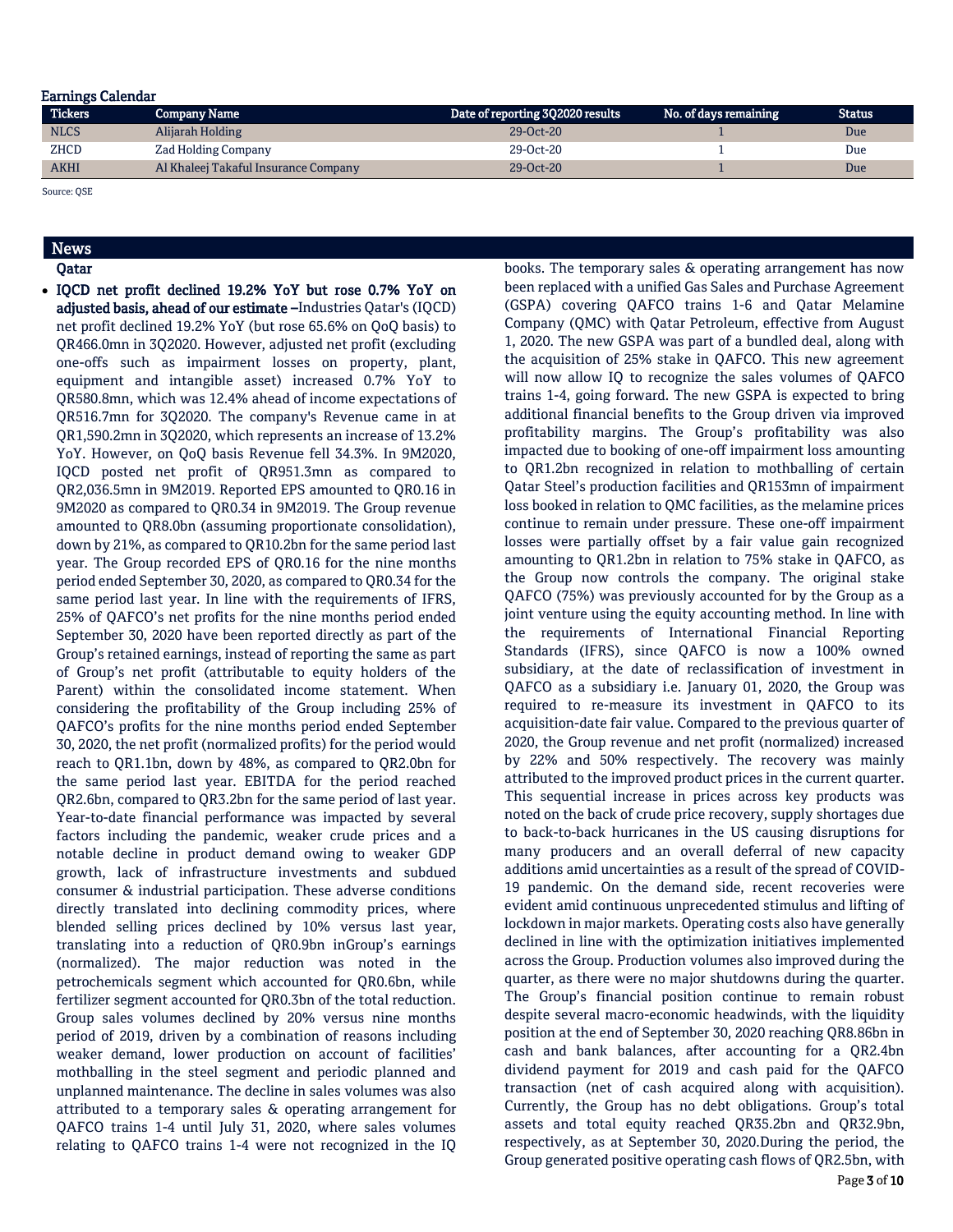#### Earnings Calendar

| <b>Tickers</b> | <b>Company Name</b>                  | Date of reporting 3Q2020 results | No. of days remaining | Status |
|----------------|--------------------------------------|----------------------------------|-----------------------|--------|
| <b>NLCS</b>    | Alijarah Holding                     | $29-0ct-20$                      |                       | Due    |
| ZHCD           | Zad Holding Company                  | 29-Oct-20                        |                       | Due    |
| <b>AKHI</b>    | Al Khaleej Takaful Insurance Company | $29-0ct-20$                      |                       | Due    |

Source: QSE

## News

Qatar

 IQCD net profit declined 19.2% YoY but rose 0.7% YoY on adjusted basis, ahead of our estimate –Industries Qatar's (IQCD) net profit declined 19.2% YoY (but rose 65.6% on QoQ basis) to QR466.0mn in 3Q2020. However, adjusted net profit (excluding one-offs such as impairment losses on property, plant, equipment and intangible asset) increased 0.7% YoY to QR580.8mn, which was 12.4% ahead of income expectations of QR516.7mn for 3Q2020. The company's Revenue came in at QR1,590.2mn in 3Q2020, which represents an increase of 13.2% YoY. However, on QoQ basis Revenue fell 34.3%. In 9M2020, IQCD posted net profit of QR951.3mn as compared to QR2,036.5mn in 9M2019. Reported EPS amounted to QR0.16 in 9M2020 as compared to QR0.34 in 9M2019. The Group revenue amounted to QR8.0bn (assuming proportionate consolidation), down by 21%, as compared to QR10.2bn for the same period last year. The Group recorded EPS of QR0.16 for the nine months period ended September 30, 2020, as compared to QR0.34 for the same period last year. In line with the requirements of IFRS, 25% of QAFCO's net profits for the nine months period ended September 30, 2020 have been reported directly as part of the Group's retained earnings, instead of reporting the same as part of Group's net profit (attributable to equity holders of the Parent) within the consolidated income statement. When considering the profitability of the Group including 25% of QAFCO's profits for the nine months period ended September 30, 2020, the net profit (normalized profits) for the period would reach to QR1.1bn, down by 48%, as compared to QR2.0bn for the same period last year. EBITDA for the period reached QR2.6bn, compared to QR3.2bn for the same period of last year. Year-to-date financial performance was impacted by several factors including the pandemic, weaker crude prices and a notable decline in product demand owing to weaker GDP growth, lack of infrastructure investments and subdued consumer & industrial participation. These adverse conditions directly translated into declining commodity prices, where blended selling prices declined by 10% versus last year, translating into a reduction of QR0.9bn inGroup's earnings (normalized). The major reduction was noted in the petrochemicals segment which accounted for QR0.6bn, while fertilizer segment accounted for QR0.3bn of the total reduction. Group sales volumes declined by 20% versus nine months period of 2019, driven by a combination of reasons including weaker demand, lower production on account of facilities' mothballing in the steel segment and periodic planned and unplanned maintenance. The decline in sales volumes was also attributed to a temporary sales & operating arrangement for QAFCO trains 1-4 until July 31, 2020, where sales volumes relating to QAFCO trains 1-4 were not recognized in the IQ

books. The temporary sales & operating arrangement has now been replaced with a unified Gas Sales and Purchase Agreement (GSPA) covering QAFCO trains 1-6 and Qatar Melamine Company (QMC) with Qatar Petroleum, effective from August 1, 2020. The new GSPA was part of a bundled deal, along with the acquisition of 25% stake in QAFCO. This new agreement will now allow IQ to recognize the sales volumes of QAFCO trains 1-4, going forward. The new GSPA is expected to bring additional financial benefits to the Group driven via improved profitability margins. The Group's profitability was also impacted due to booking of one-off impairment loss amounting to QR1.2bn recognized in relation to mothballing of certain Qatar Steel's production facilities and QR153mn of impairment loss booked in relation to QMC facilities, as the melamine prices continue to remain under pressure. These one-off impairment losses were partially offset by a fair value gain recognized amounting to QR1.2bn in relation to 75% stake in QAFCO, as the Group now controls the company. The original stake QAFCO (75%) was previously accounted for by the Group as a joint venture using the equity accounting method. In line with the requirements of International Financial Reporting Standards (IFRS), since QAFCO is now a 100% owned subsidiary, at the date of reclassification of investment in QAFCO as a subsidiary i.e. January 01, 2020, the Group was required to re-measure its investment in QAFCO to its acquisition-date fair value. Compared to the previous quarter of 2020, the Group revenue and net profit (normalized) increased by 22% and 50% respectively. The recovery was mainly attributed to the improved product prices in the current quarter. This sequential increase in prices across key products was noted on the back of crude price recovery, supply shortages due to back-to-back hurricanes in the US causing disruptions for many producers and an overall deferral of new capacity additions amid uncertainties as a result of the spread of COVID-19 pandemic. On the demand side, recent recoveries were evident amid continuous unprecedented stimulus and lifting of lockdown in major markets. Operating costs also have generally declined in line with the optimization initiatives implemented across the Group. Production volumes also improved during the quarter, as there were no major shutdowns during the quarter. The Group's financial position continue to remain robust despite several macro-economic headwinds, with the liquidity position at the end of September 30, 2020 reaching QR8.86bn in cash and bank balances, after accounting for a QR2.4bn dividend payment for 2019 and cash paid for the QAFCO transaction (net of cash acquired along with acquisition). Currently, the Group has no debt obligations. Group's total assets and total equity reached QR35.2bn and QR32.9bn, respectively, as at September 30, 2020.During the period, the Group generated positive operating cash flows of QR2.5bn, with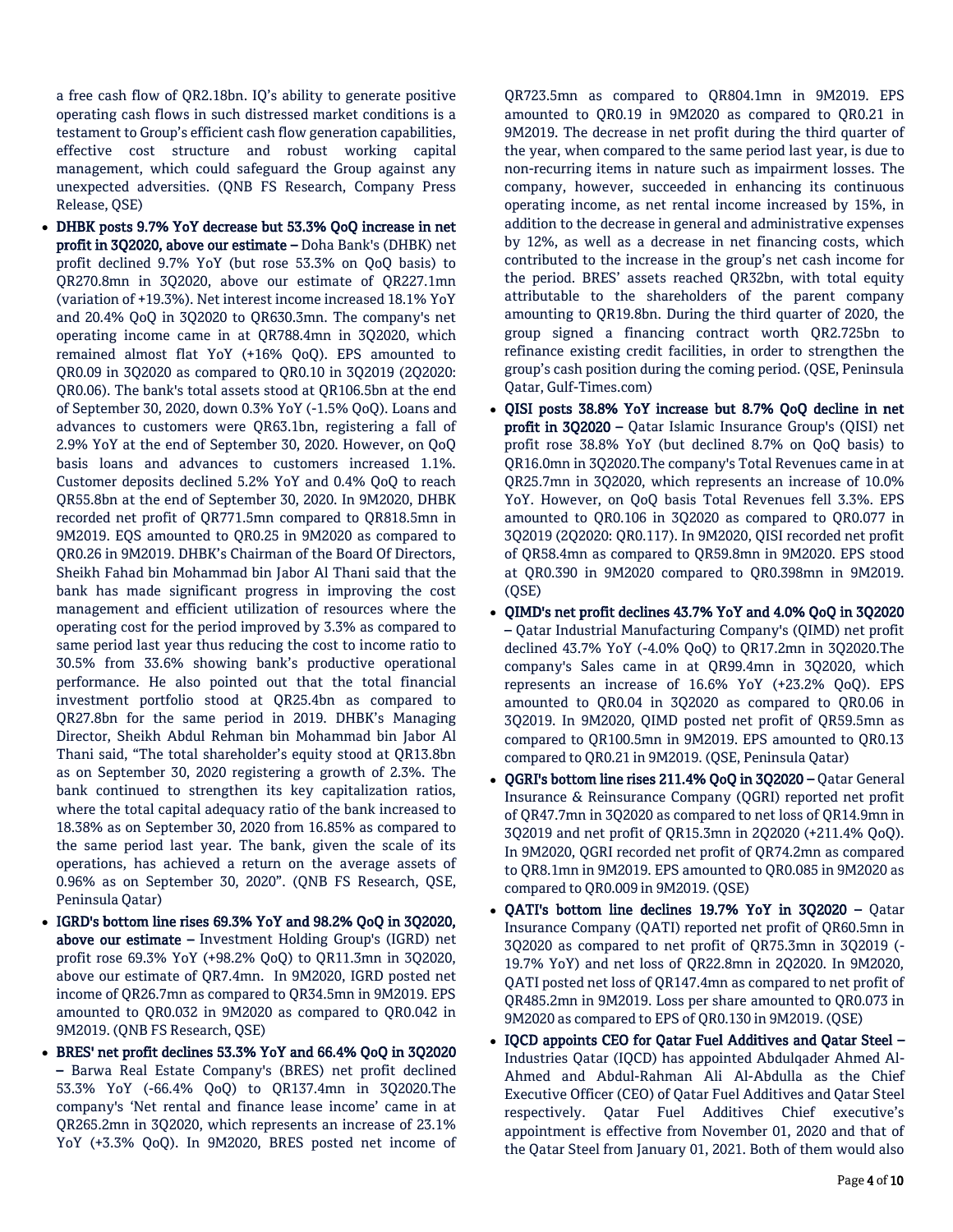a free cash flow of QR2.18bn. IQ's ability to generate positive operating cash flows in such distressed market conditions is a testament to Group's efficient cash flow generation capabilities, effective cost structure and robust working capital management, which could safeguard the Group against any unexpected adversities. (QNB FS Research, Company Press Release, QSE)

- DHBK posts 9.7% YoY decrease but 53.3% QoQ increase in net profit in 3Q2020, above our estimate – Doha Bank's (DHBK) net profit declined 9.7% YoY (but rose 53.3% on QoQ basis) to QR270.8mn in 3Q2020, above our estimate of QR227.1mn (variation of +19.3%). Net interest income increased 18.1% YoY and 20.4% QoQ in 3Q2020 to QR630.3mn. The company's net operating income came in at QR788.4mn in 3Q2020, which remained almost flat YoY (+16% QoQ). EPS amounted to QR0.09 in 3Q2020 as compared to QR0.10 in 3Q2019 (2Q2020: QR0.06). The bank's total assets stood at QR106.5bn at the end of September 30, 2020, down 0.3% YoY (-1.5% QoQ). Loans and advances to customers were QR63.1bn, registering a fall of 2.9% YoY at the end of September 30, 2020. However, on QoQ basis loans and advances to customers increased 1.1%. Customer deposits declined 5.2% YoY and 0.4% QoQ to reach QR55.8bn at the end of September 30, 2020. In 9M2020, DHBK recorded net profit of QR771.5mn compared to QR818.5mn in 9M2019. EQS amounted to QR0.25 in 9M2020 as compared to QR0.26 in 9M2019. DHBK's Chairman of the Board Of Directors, Sheikh Fahad bin Mohammad bin Jabor Al Thani said that the bank has made significant progress in improving the cost management and efficient utilization of resources where the operating cost for the period improved by 3.3% as compared to same period last year thus reducing the cost to income ratio to 30.5% from 33.6% showing bank's productive operational performance. He also pointed out that the total financial investment portfolio stood at QR25.4bn as compared to QR27.8bn for the same period in 2019. DHBK's Managing Director, Sheikh Abdul Rehman bin Mohammad bin Jabor Al Thani said, "The total shareholder's equity stood at QR13.8bn as on September 30, 2020 registering a growth of 2.3%. The bank continued to strengthen its key capitalization ratios, where the total capital adequacy ratio of the bank increased to 18.38% as on September 30, 2020 from 16.85% as compared to the same period last year. The bank, given the scale of its operations, has achieved a return on the average assets of 0.96% as on September 30, 2020". (QNB FS Research, QSE, Peninsula Qatar)
- IGRD's bottom line rises 69.3% YoY and 98.2% QoQ in 3Q2020, above our estimate – Investment Holding Group's (IGRD) net profit rose 69.3% YoY (+98.2% QoQ) to QR11.3mn in 3Q2020, above our estimate of QR7.4mn. In 9M2020, IGRD posted net income of QR26.7mn as compared to QR34.5mn in 9M2019. EPS amounted to QR0.032 in 9M2020 as compared to QR0.042 in 9M2019. (QNB FS Research, QSE)
- BRES' net profit declines 53.3% YoY and 66.4% QoQ in 3Q2020 – Barwa Real Estate Company's (BRES) net profit declined 53.3% YoY (-66.4% QoQ) to QR137.4mn in 3Q2020.The company's 'Net rental and finance lease income' came in at QR265.2mn in 3Q2020, which represents an increase of 23.1% YoY (+3.3% QoQ). In 9M2020, BRES posted net income of

QR723.5mn as compared to QR804.1mn in 9M2019. EPS amounted to QR0.19 in 9M2020 as compared to QR0.21 in 9M2019. The decrease in net profit during the third quarter of the year, when compared to the same period last year, is due to non-recurring items in nature such as impairment losses. The company, however, succeeded in enhancing its continuous operating income, as net rental income increased by 15%, in addition to the decrease in general and administrative expenses by 12%, as well as a decrease in net financing costs, which contributed to the increase in the group's net cash income for the period. BRES' assets reached QR32bn, with total equity attributable to the shareholders of the parent company amounting to QR19.8bn. During the third quarter of 2020, the group signed a financing contract worth QR2.725bn to refinance existing credit facilities, in order to strengthen the group's cash position during the coming period. (QSE, Peninsula Qatar, Gulf-Times.com)

- QISI posts 38.8% YoY increase but 8.7% QoQ decline in net profit in 3Q2020 – Qatar Islamic Insurance Group's (QISI) net profit rose 38.8% YoY (but declined 8.7% on QoQ basis) to QR16.0mn in 3Q2020.The company's Total Revenues came in at QR25.7mn in 3Q2020, which represents an increase of 10.0% YoY. However, on QoQ basis Total Revenues fell 3.3%. EPS amounted to QR0.106 in 3Q2020 as compared to QR0.077 in 3Q2019 (2Q2020: QR0.117). In 9M2020, QISI recorded net profit of QR58.4mn as compared to QR59.8mn in 9M2020. EPS stood at QR0.390 in 9M2020 compared to QR0.398mn in 9M2019. (QSE)
- QIMD's net profit declines 43.7% YoY and 4.0% QoQ in 3Q2020 – Qatar Industrial Manufacturing Company's (QIMD) net profit declined 43.7% YoY (-4.0% QoQ) to QR17.2mn in 3Q2020.The company's Sales came in at QR99.4mn in 3Q2020, which represents an increase of 16.6% YoY (+23.2% QoQ). EPS amounted to QR0.04 in 3Q2020 as compared to QR0.06 in 3Q2019. In 9M2020, QIMD posted net profit of QR59.5mn as compared to QR100.5mn in 9M2019. EPS amounted to QR0.13 compared to QR0.21 in 9M2019. (QSE, Peninsula Qatar)
- QGRI's bottom line rises 211.4% QoQ in 3Q2020 Qatar General Insurance & Reinsurance Company (QGRI) reported net profit of QR47.7mn in 3Q2020 as compared to net loss of QR14.9mn in 3Q2019 and net profit of QR15.3mn in 2Q2020 (+211.4% QoQ). In 9M2020, QGRI recorded net profit of QR74.2mn as compared to QR8.1mn in 9M2019. EPS amounted to QR0.085 in 9M2020 as compared to QR0.009 in 9M2019. (QSE)
- QATI's bottom line declines 19.7% YoY in 3Q2020 Qatar Insurance Company (QATI) reported net profit of QR60.5mn in 3Q2020 as compared to net profit of QR75.3mn in 3Q2019 (- 19.7% YoY) and net loss of QR22.8mn in 2Q2020. In 9M2020, QATI posted net loss of QR147.4mn as compared to net profit of QR485.2mn in 9M2019. Loss per share amounted to QR0.073 in 9M2020 as compared to EPS of QR0.130 in 9M2019. (QSE)
- IQCD appoints CEO for Qatar Fuel Additives and Qatar Steel Industries Qatar (IQCD) has appointed Abdulqader Ahmed Al-Ahmed and Abdul-Rahman Ali Al-Abdulla as the Chief Executive Officer (CEO) of Qatar Fuel Additives and Qatar Steel respectively. Qatar Fuel Additives Chief executive's appointment is effective from November 01, 2020 and that of the Qatar Steel from January 01, 2021. Both of them would also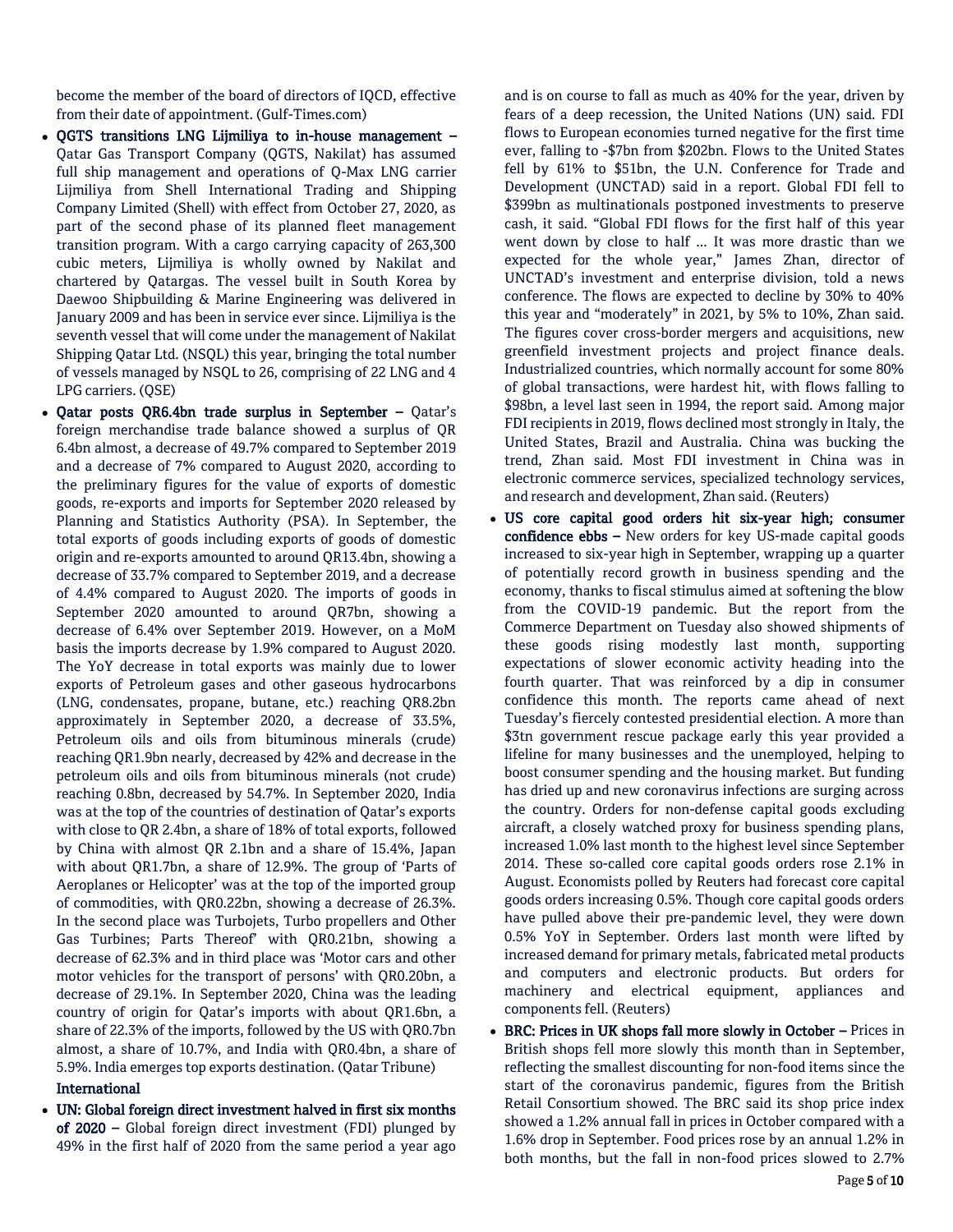become the member of the board of directors of IQCD, effective from their date of appointment. (Gulf-Times.com)

- QGTS transitions LNG Lijmiliya to in-house management Qatar Gas Transport Company (QGTS, Nakilat) has assumed full ship management and operations of Q-Max LNG carrier Lijmiliya from Shell International Trading and Shipping Company Limited (Shell) with effect from October 27, 2020, as part of the second phase of its planned fleet management transition program. With a cargo carrying capacity of 263,300 cubic meters, Lijmiliya is wholly owned by Nakilat and chartered by Qatargas. The vessel built in South Korea by Daewoo Shipbuilding & Marine Engineering was delivered in January 2009 and has been in service ever since. Lijmiliya is the seventh vessel that will come under the management of Nakilat Shipping Qatar Ltd. (NSQL) this year, bringing the total number of vessels managed by NSQL to 26, comprising of 22 LNG and 4 LPG carriers. (QSE)
- Qatar posts QR6.4bn trade surplus in September Qatar's foreign merchandise trade balance showed a surplus of QR 6.4bn almost, a decrease of 49.7% compared to September 2019 and a decrease of 7% compared to August 2020, according to the preliminary figures for the value of exports of domestic goods, re-exports and imports for September 2020 released by Planning and Statistics Authority (PSA). In September, the total exports of goods including exports of goods of domestic origin and re-exports amounted to around QR13.4bn, showing a decrease of 33.7% compared to September 2019, and a decrease of 4.4% compared to August 2020. The imports of goods in September 2020 amounted to around QR7bn, showing a decrease of 6.4% over September 2019. However, on a MoM basis the imports decrease by 1.9% compared to August 2020. The YoY decrease in total exports was mainly due to lower exports of Petroleum gases and other gaseous hydrocarbons (LNG, condensates, propane, butane, etc.) reaching QR8.2bn approximately in September 2020, a decrease of 33.5%, Petroleum oils and oils from bituminous minerals (crude) reaching QR1.9bn nearly, decreased by 42% and decrease in the petroleum oils and oils from bituminous minerals (not crude) reaching 0.8bn, decreased by 54.7%. In September 2020, India was at the top of the countries of destination of Qatar's exports with close to QR 2.4bn, a share of 18% of total exports, followed by China with almost QR 2.1bn and a share of 15.4%, Japan with about QR1.7bn, a share of 12.9%. The group of 'Parts of Aeroplanes or Helicopter' was at the top of the imported group of commodities, with QR0.22bn, showing a decrease of 26.3%. In the second place was Turbojets, Turbo propellers and Other Gas Turbines; Parts Thereof' with QR0.21bn, showing a decrease of 62.3% and in third place was 'Motor cars and other motor vehicles for the transport of persons' with QR0.20bn, a decrease of 29.1%. In September 2020, China was the leading country of origin for Qatar's imports with about QR1.6bn, a share of 22.3% of the imports, followed by the US with QR0.7bn almost, a share of 10.7%, and India with QR0.4bn, a share of 5.9%. India emerges top exports destination. (Qatar Tribune)

#### International

 UN: Global foreign direct investment halved in first six months of 2020 – Global foreign direct investment (FDI) plunged by 49% in the first half of 2020 from the same period a year ago

and is on course to fall as much as 40% for the year, driven by fears of a deep recession, the United Nations (UN) said. FDI flows to European economies turned negative for the first time ever, falling to -\$7bn from \$202bn. Flows to the United States fell by 61% to \$51bn, the U.N. Conference for Trade and Development (UNCTAD) said in a report. Global FDI fell to \$399bn as multinationals postponed investments to preserve cash, it said. "Global FDI flows for the first half of this year went down by close to half ... It was more drastic than we expected for the whole year," James Zhan, director of UNCTAD's investment and enterprise division, told a news conference. The flows are expected to decline by 30% to 40% this year and "moderately" in 2021, by 5% to 10%, Zhan said. The figures cover cross-border mergers and acquisitions, new greenfield investment projects and project finance deals. Industrialized countries, which normally account for some 80% of global transactions, were hardest hit, with flows falling to \$98bn, a level last seen in 1994, the report said. Among major FDI recipients in 2019, flows declined most strongly in Italy, the United States, Brazil and Australia. China was bucking the trend, Zhan said. Most FDI investment in China was in electronic commerce services, specialized technology services, and research and development, Zhan said. (Reuters)

- US core capital good orders hit six-year high; consumer confidence ebbs - New orders for key US-made capital goods increased to six-year high in September, wrapping up a quarter of potentially record growth in business spending and the economy, thanks to fiscal stimulus aimed at softening the blow from the COVID-19 pandemic. But the report from the Commerce Department on Tuesday also showed shipments of these goods rising modestly last month, supporting expectations of slower economic activity heading into the fourth quarter. That was reinforced by a dip in consumer confidence this month. The reports came ahead of next Tuesday's fiercely contested presidential election. A more than \$3tn government rescue package early this year provided a lifeline for many businesses and the unemployed, helping to boost consumer spending and the housing market. But funding has dried up and new coronavirus infections are surging across the country. Orders for non-defense capital goods excluding aircraft, a closely watched proxy for business spending plans, increased 1.0% last month to the highest level since September 2014. These so-called core capital goods orders rose 2.1% in August. Economists polled by Reuters had forecast core capital goods orders increasing 0.5%. Though core capital goods orders have pulled above their pre-pandemic level, they were down 0.5% YoY in September. Orders last month were lifted by increased demand for primary metals, fabricated metal products and computers and electronic products. But orders for machinery and electrical equipment, appliances and components fell. (Reuters)
- BRC: Prices in UK shops fall more slowly in October Prices in British shops fell more slowly this month than in September, reflecting the smallest discounting for non-food items since the start of the coronavirus pandemic, figures from the British Retail Consortium showed. The BRC said its shop price index showed a 1.2% annual fall in prices in October compared with a 1.6% drop in September. Food prices rose by an annual 1.2% in both months, but the fall in non-food prices slowed to 2.7%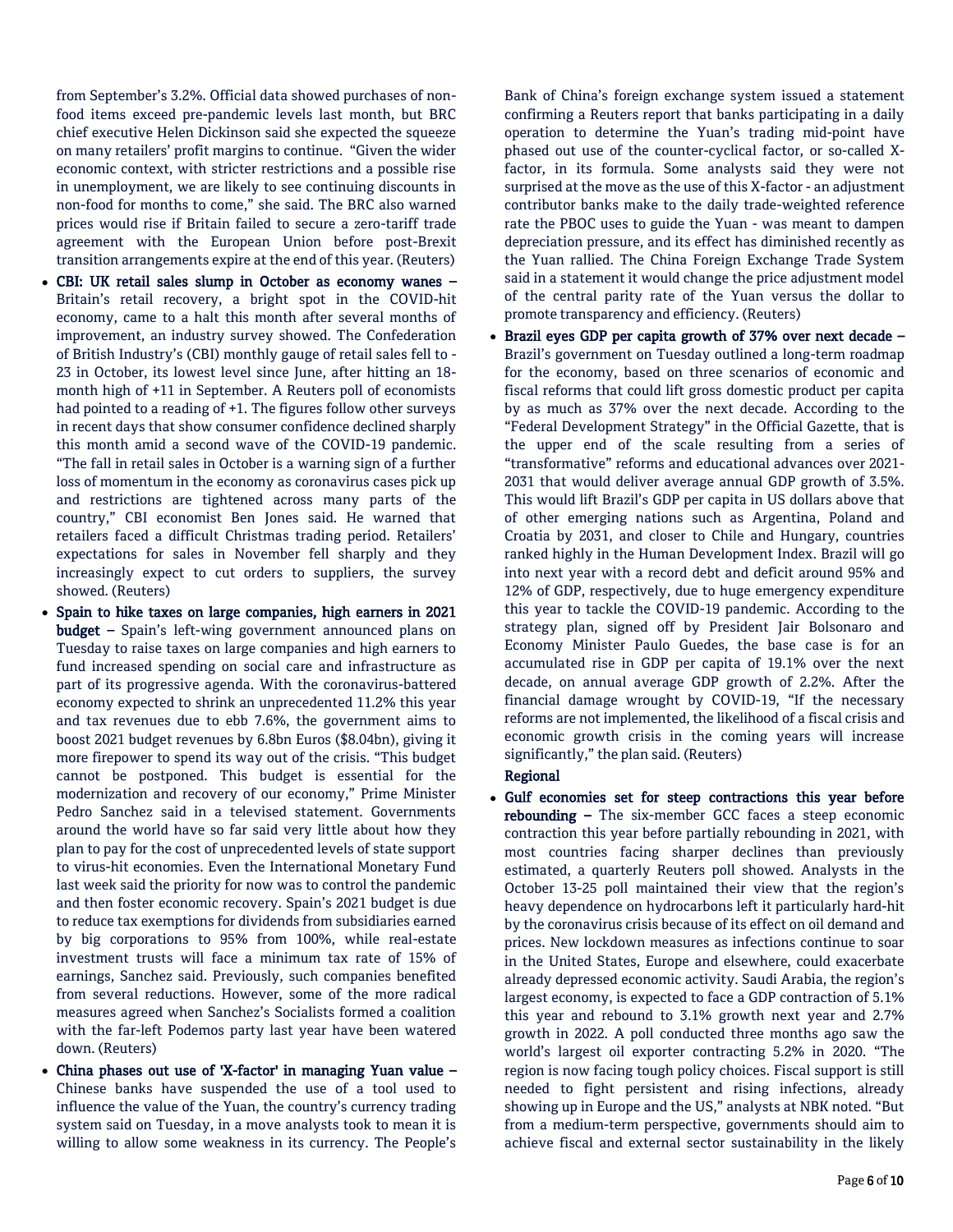from September's 3.2%. Official data showed purchases of nonfood items exceed pre-pandemic levels last month, but BRC chief executive Helen Dickinson said she expected the squeeze on many retailers' profit margins to continue. "Given the wider economic context, with stricter restrictions and a possible rise in unemployment, we are likely to see continuing discounts in non-food for months to come," she said. The BRC also warned prices would rise if Britain failed to secure a zero-tariff trade agreement with the European Union before post-Brexit transition arrangements expire at the end of this year. (Reuters)

- CBI: UK retail sales slump in October as economy wanes Britain's retail recovery, a bright spot in the COVID-hit economy, came to a halt this month after several months of improvement, an industry survey showed. The Confederation of British Industry's (CBI) monthly gauge of retail sales fell to - 23 in October, its lowest level since June, after hitting an 18 month high of +11 in September. A Reuters poll of economists had pointed to a reading of +1. The figures follow other surveys in recent days that show consumer confidence declined sharply this month amid a second wave of the COVID-19 pandemic. "The fall in retail sales in October is a warning sign of a further loss of momentum in the economy as coronavirus cases pick up and restrictions are tightened across many parts of the country," CBI economist Ben Jones said. He warned that retailers faced a difficult Christmas trading period. Retailers' expectations for sales in November fell sharply and they increasingly expect to cut orders to suppliers, the survey showed. (Reuters)
- Spain to hike taxes on large companies, high earners in 2021 budget – Spain's left-wing government announced plans on Tuesday to raise taxes on large companies and high earners to fund increased spending on social care and infrastructure as part of its progressive agenda. With the coronavirus-battered economy expected to shrink an unprecedented 11.2% this year and tax revenues due to ebb 7.6%, the government aims to boost 2021 budget revenues by 6.8bn Euros (\$8.04bn), giving it more firepower to spend its way out of the crisis. "This budget cannot be postponed. This budget is essential for the modernization and recovery of our economy," Prime Minister Pedro Sanchez said in a televised statement. Governments around the world have so far said very little about how they plan to pay for the cost of unprecedented levels of state support to virus-hit economies. Even the International Monetary Fund last week said the priority for now was to control the pandemic and then foster economic recovery. Spain's 2021 budget is due to reduce tax exemptions for dividends from subsidiaries earned by big corporations to 95% from 100%, while real-estate investment trusts will face a minimum tax rate of 15% of earnings, Sanchez said. Previously, such companies benefited from several reductions. However, some of the more radical measures agreed when Sanchez's Socialists formed a coalition with the far-left Podemos party last year have been watered down. (Reuters)
- China phases out use of 'X-factor' in managing Yuan value Chinese banks have suspended the use of a tool used to influence the value of the Yuan, the country's currency trading system said on Tuesday, in a move analysts took to mean it is willing to allow some weakness in its currency. The People's

Bank of China's foreign exchange system issued a statement confirming a Reuters report that banks participating in a daily operation to determine the Yuan's trading mid-point have phased out use of the counter-cyclical factor, or so-called Xfactor, in its formula. Some analysts said they were not surprised at the move as the use of this X-factor - an adjustment contributor banks make to the daily trade-weighted reference rate the PBOC uses to guide the Yuan - was meant to dampen depreciation pressure, and its effect has diminished recently as the Yuan rallied. The China Foreign Exchange Trade System said in a statement it would change the price adjustment model of the central parity rate of the Yuan versus the dollar to promote transparency and efficiency. (Reuters)

 Brazil eyes GDP per capita growth of 37% over next decade – Brazil's government on Tuesday outlined a long-term roadmap for the economy, based on three scenarios of economic and fiscal reforms that could lift gross domestic product per capita by as much as 37% over the next decade. According to the "Federal Development Strategy" in the Official Gazette, that is the upper end of the scale resulting from a series of "transformative" reforms and educational advances over 2021- 2031 that would deliver average annual GDP growth of 3.5%. This would lift Brazil's GDP per capita in US dollars above that of other emerging nations such as Argentina, Poland and Croatia by 2031, and closer to Chile and Hungary, countries ranked highly in the Human Development Index. Brazil will go into next year with a record debt and deficit around 95% and 12% of GDP, respectively, due to huge emergency expenditure this year to tackle the COVID-19 pandemic. According to the strategy plan, signed off by President Jair Bolsonaro and Economy Minister Paulo Guedes, the base case is for an accumulated rise in GDP per capita of 19.1% over the next decade, on annual average GDP growth of 2.2%. After the financial damage wrought by COVID-19, "If the necessary reforms are not implemented, the likelihood of a fiscal crisis and economic growth crisis in the coming years will increase significantly," the plan said. (Reuters)

### Regional

 Gulf economies set for steep contractions this year before rebounding – The six-member GCC faces a steep economic contraction this year before partially rebounding in 2021, with most countries facing sharper declines than previously estimated, a quarterly Reuters poll showed. Analysts in the October 13-25 poll maintained their view that the region's heavy dependence on hydrocarbons left it particularly hard-hit by the coronavirus crisis because of its effect on oil demand and prices. New lockdown measures as infections continue to soar in the United States, Europe and elsewhere, could exacerbate already depressed economic activity. Saudi Arabia, the region's largest economy, is expected to face a GDP contraction of 5.1% this year and rebound to 3.1% growth next year and 2.7% growth in 2022. A poll conducted three months ago saw the world's largest oil exporter contracting 5.2% in 2020. "The region is now facing tough policy choices. Fiscal support is still needed to fight persistent and rising infections, already showing up in Europe and the US," analysts at NBK noted. "But from a medium-term perspective, governments should aim to achieve fiscal and external sector sustainability in the likely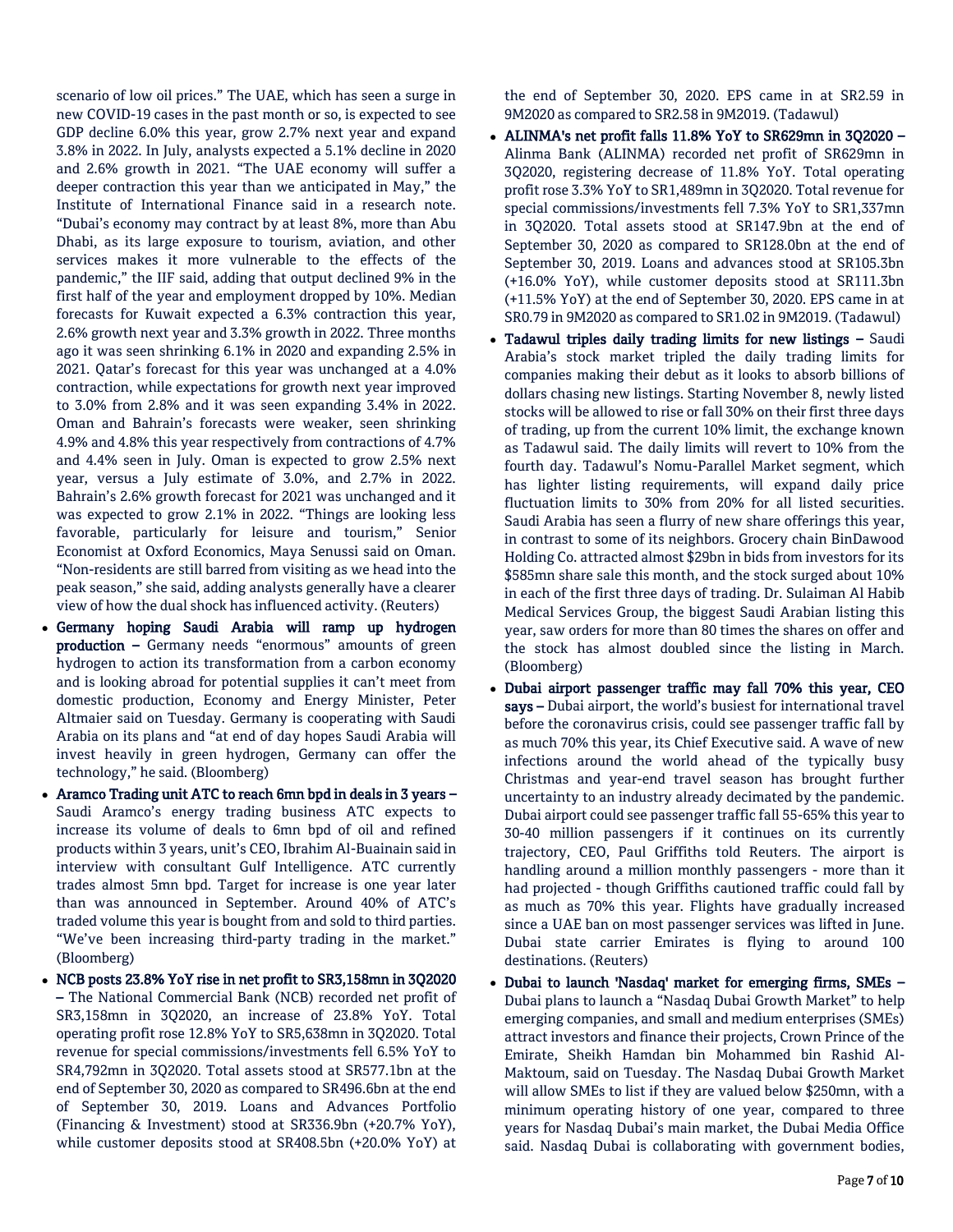scenario of low oil prices." The UAE, which has seen a surge in new COVID-19 cases in the past month or so, is expected to see GDP decline 6.0% this year, grow 2.7% next year and expand 3.8% in 2022. In July, analysts expected a 5.1% decline in 2020 and 2.6% growth in 2021. "The UAE economy will suffer a deeper contraction this year than we anticipated in May," the Institute of International Finance said in a research note. "Dubai's economy may contract by at least 8%, more than Abu Dhabi, as its large exposure to tourism, aviation, and other services makes it more vulnerable to the effects of the pandemic," the IIF said, adding that output declined 9% in the first half of the year and employment dropped by 10%. Median forecasts for Kuwait expected a 6.3% contraction this year, 2.6% growth next year and 3.3% growth in 2022. Three months ago it was seen shrinking 6.1% in 2020 and expanding 2.5% in 2021. Qatar's forecast for this year was unchanged at a 4.0% contraction, while expectations for growth next year improved to 3.0% from 2.8% and it was seen expanding 3.4% in 2022. Oman and Bahrain's forecasts were weaker, seen shrinking 4.9% and 4.8% this year respectively from contractions of 4.7% and 4.4% seen in July. Oman is expected to grow 2.5% next year, versus a July estimate of 3.0%, and 2.7% in 2022. Bahrain's 2.6% growth forecast for 2021 was unchanged and it was expected to grow 2.1% in 2022. "Things are looking less favorable, particularly for leisure and tourism," Senior Economist at Oxford Economics, Maya Senussi said on Oman. "Non-residents are still barred from visiting as we head into the peak season," she said, adding analysts generally have a clearer view of how the dual shock has influenced activity. (Reuters)

- Germany hoping Saudi Arabia will ramp up hydrogen production – Germany needs "enormous" amounts of green hydrogen to action its transformation from a carbon economy and is looking abroad for potential supplies it can't meet from domestic production, Economy and Energy Minister, Peter Altmaier said on Tuesday. Germany is cooperating with Saudi Arabia on its plans and "at end of day hopes Saudi Arabia will invest heavily in green hydrogen, Germany can offer the technology," he said. (Bloomberg)
- Aramco Trading unit ATC to reach 6mn bpd in deals in 3 years Saudi Aramco's energy trading business ATC expects to increase its volume of deals to 6mn bpd of oil and refined products within 3 years, unit's CEO, Ibrahim Al-Buainain said in interview with consultant Gulf Intelligence. ATC currently trades almost 5mn bpd. Target for increase is one year later than was announced in September. Around 40% of ATC's traded volume this year is bought from and sold to third parties. "We've been increasing third-party trading in the market." (Bloomberg)
- NCB posts 23.8% YoY rise in net profit to SR3,158mn in 3Q2020 – The National Commercial Bank (NCB) recorded net profit of SR3,158mn in 3Q2020, an increase of 23.8% YoY. Total operating profit rose 12.8% YoY to SR5,638mn in 3Q2020. Total revenue for special commissions/investments fell 6.5% YoY to SR4,792mn in 3Q2020. Total assets stood at SR577.1bn at the end of September 30, 2020 as compared to SR496.6bn at the end of September 30, 2019. Loans and Advances Portfolio (Financing & Investment) stood at SR336.9bn (+20.7% YoY), while customer deposits stood at SR408.5bn (+20.0% YoY) at

the end of September 30, 2020. EPS came in at SR2.59 in 9M2020 as compared to SR2.58 in 9M2019. (Tadawul)

- ALINMA's net profit falls 11.8% YoY to SR629mn in 3Q2020 Alinma Bank (ALINMA) recorded net profit of SR629mn in 3Q2020, registering decrease of 11.8% YoY. Total operating profit rose 3.3% YoY to SR1,489mn in 3Q2020. Total revenue for special commissions/investments fell 7.3% YoY to SR1,337mn in 3Q2020. Total assets stood at SR147.9bn at the end of September 30, 2020 as compared to SR128.0bn at the end of September 30, 2019. Loans and advances stood at SR105.3bn (+16.0% YoY), while customer deposits stood at SR111.3bn (+11.5% YoY) at the end of September 30, 2020. EPS came in at SR0.79 in 9M2020 as compared to SR1.02 in 9M2019. (Tadawul)
- Tadawul triples daily trading limits for new listings Saudi Arabia's stock market tripled the daily trading limits for companies making their debut as it looks to absorb billions of dollars chasing new listings. Starting November 8, newly listed stocks will be allowed to rise or fall 30% on their first three days of trading, up from the current 10% limit, the exchange known as Tadawul said. The daily limits will revert to 10% from the fourth day. Tadawul's Nomu-Parallel Market segment, which has lighter listing requirements, will expand daily price fluctuation limits to 30% from 20% for all listed securities. Saudi Arabia has seen a flurry of new share offerings this year, in contrast to some of its neighbors. Grocery chain BinDawood Holding Co. attracted almost \$29bn in bids from investors for its \$585mn share sale this month, and the stock surged about 10% in each of the first three days of trading. Dr. Sulaiman Al Habib Medical Services Group, the biggest Saudi Arabian listing this year, saw orders for more than 80 times the shares on offer and the stock has almost doubled since the listing in March. (Bloomberg)
- Dubai airport passenger traffic may fall 70% this year, CEO says – Dubai airport, the world's busiest for international travel before the coronavirus crisis, could see passenger traffic fall by as much 70% this year, its Chief Executive said. A wave of new infections around the world ahead of the typically busy Christmas and year-end travel season has brought further uncertainty to an industry already decimated by the pandemic. Dubai airport could see passenger traffic fall 55-65% this year to 30-40 million passengers if it continues on its currently trajectory, CEO, Paul Griffiths told Reuters. The airport is handling around a million monthly passengers - more than it had projected - though Griffiths cautioned traffic could fall by as much as 70% this year. Flights have gradually increased since a UAE ban on most passenger services was lifted in June. Dubai state carrier Emirates is flying to around 100 destinations. (Reuters)
- Dubai to launch 'Nasdaq' market for emerging firms, SMEs Dubai plans to launch a "Nasdaq Dubai Growth Market" to help emerging companies, and small and medium enterprises (SMEs) attract investors and finance their projects, Crown Prince of the Emirate, Sheikh Hamdan bin Mohammed bin Rashid Al-Maktoum, said on Tuesday. The Nasdaq Dubai Growth Market will allow SMEs to list if they are valued below \$250mn, with a minimum operating history of one year, compared to three years for Nasdaq Dubai's main market, the Dubai Media Office said. Nasdaq Dubai is collaborating with government bodies,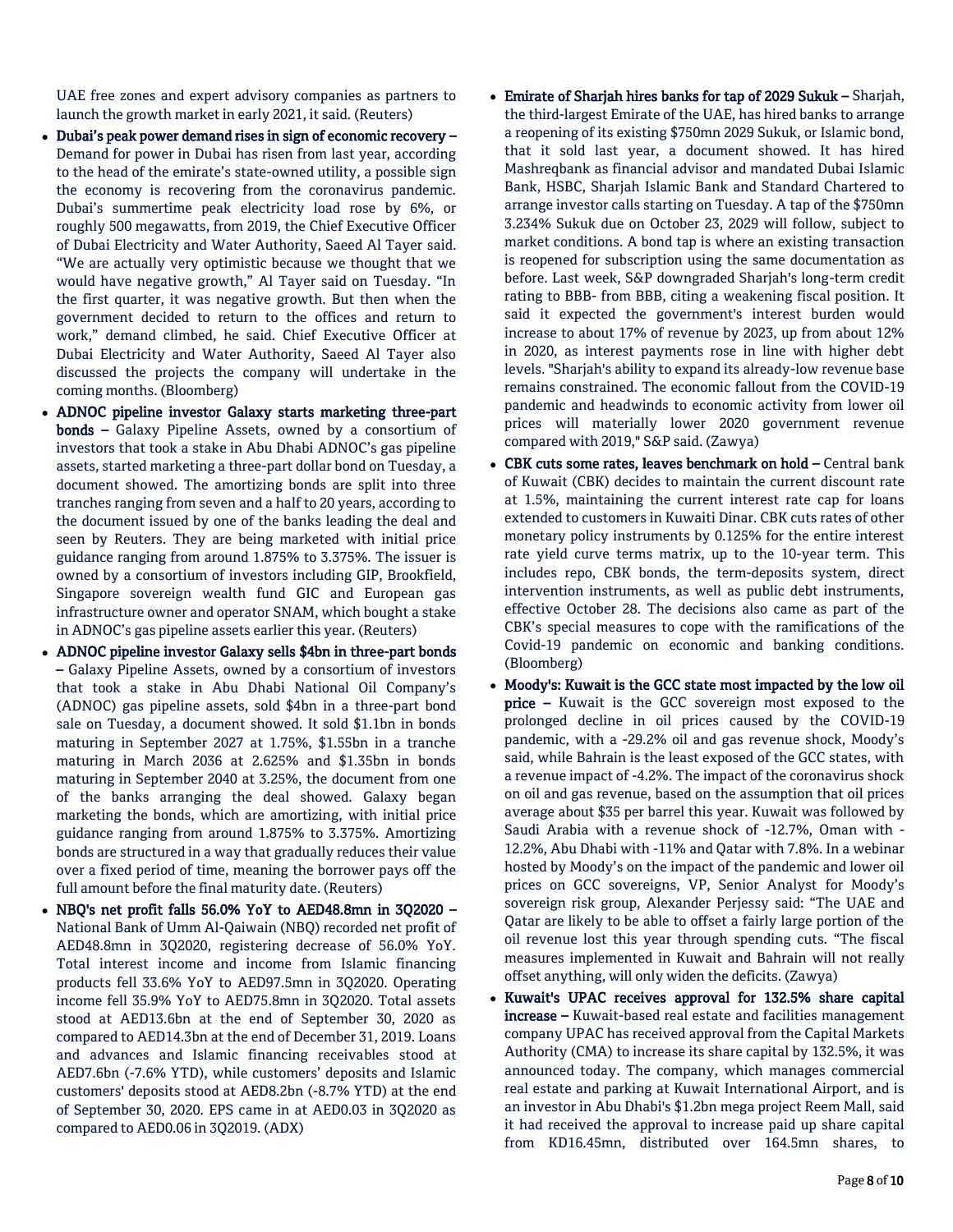UAE free zones and expert advisory companies as partners to launch the growth market in early 2021, it said. (Reuters)

- Dubai's peak power demand rises in sign of economic recovery Demand for power in Dubai has risen from last year, according to the head of the emirate's state-owned utility, a possible sign the economy is recovering from the coronavirus pandemic. Dubai's summertime peak electricity load rose by 6%, or roughly 500 megawatts, from 2019, the Chief Executive Officer of Dubai Electricity and Water Authority, Saeed Al Tayer said. "We are actually very optimistic because we thought that we would have negative growth," Al Tayer said on Tuesday. "In the first quarter, it was negative growth. But then when the government decided to return to the offices and return to work," demand climbed, he said. Chief Executive Officer at Dubai Electricity and Water Authority, Saeed Al Tayer also discussed the projects the company will undertake in the coming months. (Bloomberg)
- ADNOC pipeline investor Galaxy starts marketing three-part bonds – Galaxy Pipeline Assets, owned by a consortium of investors that took a stake in Abu Dhabi ADNOC's gas pipeline assets, started marketing a three-part dollar bond on Tuesday, a document showed. The amortizing bonds are split into three tranches ranging from seven and a half to 20 years, according to the document issued by one of the banks leading the deal and seen by Reuters. They are being marketed with initial price guidance ranging from around 1.875% to 3.375%. The issuer is owned by a consortium of investors including GIP, Brookfield, Singapore sovereign wealth fund GIC and European gas infrastructure owner and operator SNAM, which bought a stake in ADNOC's gas pipeline assets earlier this year. (Reuters)
- ADNOC pipeline investor Galaxy sells \$4bn in three-part bonds – Galaxy Pipeline Assets, owned by a consortium of investors that took a stake in Abu Dhabi National Oil Company's (ADNOC) gas pipeline assets, sold \$4bn in a three-part bond sale on Tuesday, a document showed. It sold \$1.1bn in bonds maturing in September 2027 at 1.75%, \$1.55bn in a tranche maturing in March 2036 at 2.625% and \$1.35bn in bonds maturing in September 2040 at 3.25%, the document from one of the banks arranging the deal showed. Galaxy began marketing the bonds, which are amortizing, with initial price guidance ranging from around 1.875% to 3.375%. Amortizing bonds are structured in a way that gradually reduces their value over a fixed period of time, meaning the borrower pays off the full amount before the final maturity date. (Reuters)
- NBQ's net profit falls 56.0% YoY to AED48.8mn in 3Q2020 National Bank of Umm Al-Qaiwain (NBQ) recorded net profit of AED48.8mn in 3Q2020, registering decrease of 56.0% YoY. Total interest income and income from Islamic financing products fell 33.6% YoY to AED97.5mn in 3Q2020. Operating income fell 35.9% YoY to AED75.8mn in 3Q2020. Total assets stood at AED13.6bn at the end of September 30, 2020 as compared to AED14.3bn at the end of December 31, 2019. Loans and advances and Islamic financing receivables stood at AED7.6bn (-7.6% YTD), while customers' deposits and Islamic customers' deposits stood at AED8.2bn (-8.7% YTD) at the end of September 30, 2020. EPS came in at AED0.03 in 3Q2020 as compared to AED0.06 in 3Q2019. (ADX)
- Emirate of Sharjah hires banks for tap of 2029 Sukuk Sharjah, the third-largest Emirate of the UAE, has hired banks to arrange a reopening of its existing \$750mn 2029 Sukuk, or Islamic bond, that it sold last year, a document showed. It has hired Mashreqbank as financial advisor and mandated Dubai Islamic Bank, HSBC, Sharjah Islamic Bank and Standard Chartered to arrange investor calls starting on Tuesday. A tap of the \$750mn 3.234% Sukuk due on October 23, 2029 will follow, subject to market conditions. A bond tap is where an existing transaction is reopened for subscription using the same documentation as before. Last week, S&P downgraded Sharjah's long-term credit rating to BBB- from BBB, citing a weakening fiscal position. It said it expected the government's interest burden would increase to about 17% of revenue by 2023, up from about 12% in 2020, as interest payments rose in line with higher debt levels. "Sharjah's ability to expand its already-low revenue base remains constrained. The economic fallout from the COVID-19 pandemic and headwinds to economic activity from lower oil prices will materially lower 2020 government revenue compared with 2019," S&P said. (Zawya)
- CBK cuts some rates, leaves benchmark on hold Central bank of Kuwait (CBK) decides to maintain the current discount rate at 1.5%, maintaining the current interest rate cap for loans extended to customers in Kuwaiti Dinar. CBK cuts rates of other monetary policy instruments by 0.125% for the entire interest rate yield curve terms matrix, up to the 10-year term. This includes repo, CBK bonds, the term-deposits system, direct intervention instruments, as well as public debt instruments, effective October 28. The decisions also came as part of the CBK's special measures to cope with the ramifications of the Covid-19 pandemic on economic and banking conditions. (Bloomberg)
- Moody's: Kuwait is the GCC state most impacted by the low oil price – Kuwait is the GCC sovereign most exposed to the prolonged decline in oil prices caused by the COVID-19 pandemic, with a -29.2% oil and gas revenue shock, Moody's said, while Bahrain is the least exposed of the GCC states, with a revenue impact of -4.2%. The impact of the coronavirus shock on oil and gas revenue, based on the assumption that oil prices average about \$35 per barrel this year. Kuwait was followed by Saudi Arabia with a revenue shock of -12.7%, Oman with - 12.2%, Abu Dhabi with -11% and Qatar with 7.8%. In a webinar hosted by Moody's on the impact of the pandemic and lower oil prices on GCC sovereigns, VP, Senior Analyst for Moody's sovereign risk group, Alexander Perjessy said: "The UAE and Qatar are likely to be able to offset a fairly large portion of the oil revenue lost this year through spending cuts. "The fiscal measures implemented in Kuwait and Bahrain will not really offset anything, will only widen the deficits. (Zawya)
- Kuwait's UPAC receives approval for 132.5% share capital increase – Kuwait-based real estate and facilities management company UPAC has received approval from the Capital Markets Authority (CMA) to increase its share capital by 132.5%, it was announced today. The company, which manages commercial real estate and parking at Kuwait International Airport, and is an investor in Abu Dhabi's \$1.2bn mega project Reem Mall, said it had received the approval to increase paid up share capital from KD16.45mn, distributed over 164.5mn shares, to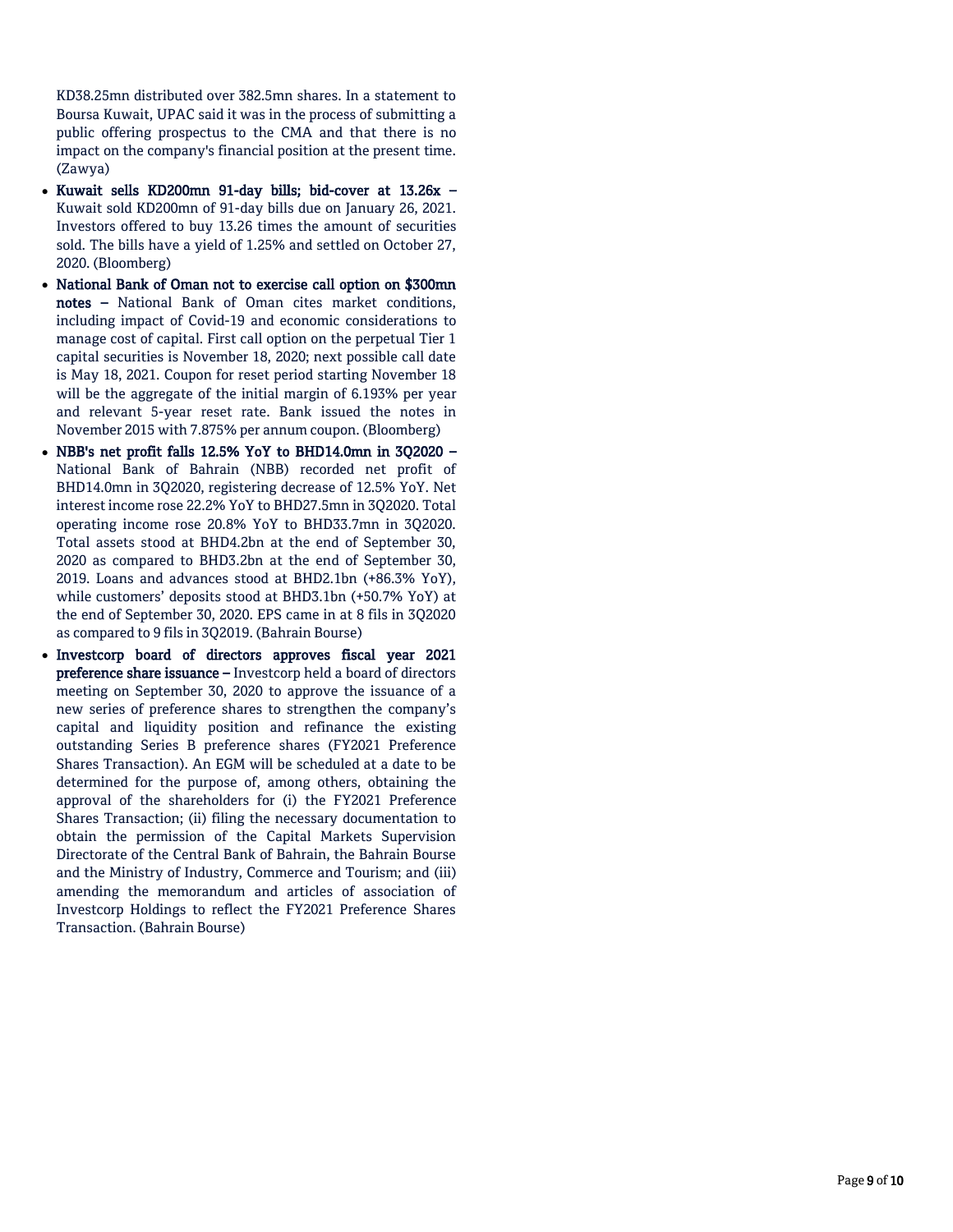KD38.25mn distributed over 382.5mn shares. In a statement to Boursa Kuwait, UPAC said it was in the process of submitting a public offering prospectus to the CMA and that there is no impact on the company's financial position at the present time. (Zawya)

- Kuwait sells KD200mn 91-day bills; bid-cover at 13.26x -Kuwait sold KD200mn of 91 -day bills due on January 26, 2021. Investors offered to buy 13.26 times the amount of securities sold. The bills have a yield of 1.25% and settled on October 27, 2020. (Bloomberg)
- National Bank of Oman not to exercise call option on \$300mn notes – National Bank of Oman cites market conditions, including impact of Covid -19 and economic considerations to manage cost of capital. First call option on the perpetual Tier 1 capital securities is November 18, 2020; next possible call date is May 18, 2021. Coupon for reset period starting November 18 will be the aggregate of the initial margin of 6.193% per year and relevant 5 -year reset rate. Bank issued the notes in November 2015 with 7.875% per annum coupon. (Bloomberg)
- NBB's net profit falls 12.5% YoY to BHD14.0mn in 3Q2020 National Bank of Bahrain (NBB) recorded net profit of BHD14.0mn in 3Q2020, registering decrease of 12.5% YoY. Net interest income rose 22.2% YoY to BHD27.5mn in 3Q2020. Total operating income rose 20.8% YoY to BHD33.7mn in 3Q2020. Total assets stood at BHD4.2bn at the end of September 30, 2020 as compared to BHD3.2bn at the end of September 30, 2019. Loans and advances stood at BHD2.1bn (+86.3% YoY), while customers' deposits stood at BHD3.1bn (+50.7% YoY) at the end of September 30, 2020. EPS came in at 8 fils in 3Q2020 as compared to 9 fils in 3Q2019. (Bahrain Bourse)
- Investcorp board of directors approves fiscal year 2021 **preference share issuance –** Investcorp held a board of directors meeting on September 30, 2020 to approve the issuance of a new series of preference shares to strengthen the company's capital and liquidity position and refinance the existing outstanding Series B preference shares (FY2021 Preference Shares Transaction). An EGM will be scheduled at a date to be determined for the purpose of, among others, obtaining the approval of the shareholders for (i) the FY2021 Preference Shares Transaction; (ii) filing the necessary documentation to obtain the permission of the Capital Markets Supervision Directorate of the Central Bank of Bahrain, the Bahrain Bourse and the Ministry of Industry, Commerce and Tourism; and (iii) amending the memorandum and articles of association of Investcorp Holdings to reflect the FY2021 Preference Shares Transaction. (Bahrain Bourse)